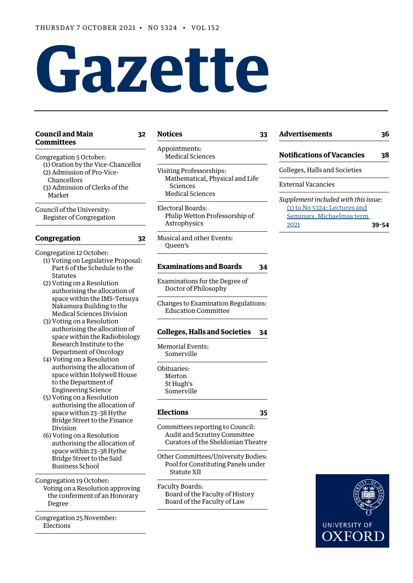# **Gazette**

#### **[Council and Main 32](#page-1-0) [Committees](#page-1-0)**

**[Notices](#page-2-0) 33**

[Congregation 5 October:](#page-1-0) [\(1\) Oration by the Vice-Chancellor](#page-1-0) [\(2\) Admission of Pro-Vice-](#page-1-0)  [Chancellors](#page-1-0) [\(3\) Admission of Clerks of the](#page-1-0)  [Market](#page-1-0)

[Council of the University:](#page-1-0) [Register of Congregation](#page-1-0)

### **[Congregation](#page-1-0) 32**

- [Congregation 12 October](#page-1-0): [\(1\) Voting on Legislative Proposal:](#page-1-0) 
	- [Part 6 of the Schedule to the](#page-1-0)  [Statutes](#page-1-0)
	- [\(2\) Voting on a Resolution](#page-1-0)  [authorising the allocation of](#page-1-0)  [space within the IMS-Tetsuya](#page-1-0)  [Nakamura Building to the](#page-1-0)  [Medical Sciences Division](#page-1-0)
	- [\(3\) Voting on a Resolution](#page-1-0)  [authorising the allocation of](#page-1-0)  [space within the Radiobiology](#page-1-0)  [Research Institute to the](#page-1-0)  [Department of Oncology](#page-1-0)
	- [\(4\) Voting on a Resolution](#page-1-0)  [authorising the allocation of](#page-1-0)  [space within Holywell House](#page-1-0)  [to the Department of](#page-1-0)   [Engineering Science](#page-1-0)
	- [\(5\) Voting on a Resolution](#page-1-0)  [authorising the allocation of](#page-1-0)  [space within 23–38 Hythe](#page-1-0)   [Bridge Street to the Finance](#page-1-0)  [Division](#page-1-0)
	- [\(6\) Voting on a Resolution](#page-1-0)  [authorising the allocation of](#page-1-0)  [space within 23–38 Hythe](#page-1-0)   [Bridge Street to the Saïd](#page-1-0)   [Business School](#page-1-0)

[Congregation 19 October:](#page-2-0) [Voting on a Resolution approving](#page-2-0)  [the conferment of an Honorary](#page-2-0)  [Degree](#page-2-0)

[Congregation 25 November:](#page-2-0) [Elections](#page-2-0)

- [Appointments](#page-2-0): [Medical Sciences](#page-2-0)
- [Visiting Professorships:](#page-2-0) [Mathematical, Physical and Life](#page-2-0)  [Sciences](#page-2-0) [Medical Sciences](#page-2-0)
- [Electoral Boards:](#page-3-0) [Philip Wetton Professorship of](#page-3-0)  [Astrophysics](#page-3-0)
- [Musical and other Events](#page-3-0): [Queen's](#page-3-0)

#### **[Examinations and Boards](#page-3-0) 34**

- [Examinations for the Degree of](#page-3-0)  [Doctor of Philosophy](#page-3-0)
- [Changes to Examination Regulations:](#page-3-0) [Education Committee](#page-3-0)

#### **[Colleges, Halls and Societies](#page-3-0) 34**

[Memorial Events:](#page-3-0) [Somerville](#page-3-0)

[Obituaries:](#page-3-0) [Merton](#page-3-0) [St Hugh's](#page-3-0) [Somerville](#page-3-0)

#### **[Elections](#page-4-0) 35**

- [Committee](#page-4-0)s reporting to Council: [Audit and Scrutiny Committee](#page-4-0)
- [Other Committees/University Bodies:](#page-4-0) [Pool for Constituting Panels under](#page-4-0)  [Statute XI](#page-4-0)I

[Curators of the Sheldonian Theatre](#page-4-0)

[Faculty Boards:](#page-4-0) [Board of the Faculty of History](#page-4-0) [Board of the Faculty of Law](#page-4-0)

## **[Advertisements](#page-5-0) 36**

**[Notifications of Vacancies](#page-7-0) 38**

[Colleges, Halls and Societies](#page-7-0)

#### [External Vacancies](#page-7-0)

*Supplement included with this issue:* [\(1\) to No 5324: Lectures and](https://gazette.web.ox.ac.uk/sites/default/files/gazette/documents/media/lectures_and_seminars_michaelmas_term_2021_-_1_to_no_5324.pdf) [Seminars, Michaelmas term](https://gazette.web.ox.ac.uk/sites/default/files/gazette/documents/media/lectures_and_seminars_michaelmas_term_2021_-_1_to_no_5324.pdf)  [2021](https://gazette.web.ox.ac.uk/sites/default/files/gazette/documents/media/lectures_and_seminars_michaelmas_term_2021_-_1_to_no_5324.pdf) **39–54**

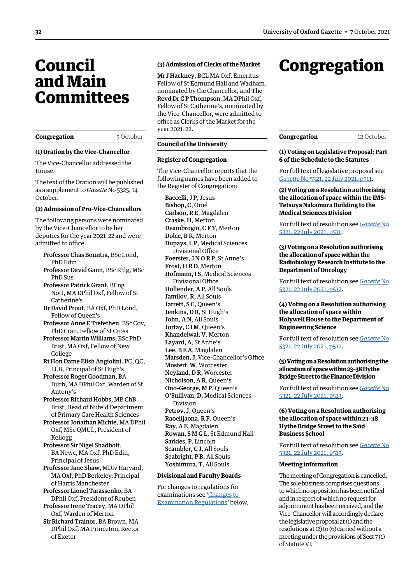## <span id="page-1-0"></span>Council and Main **Committees**

| Congregation |
|--------------|
|--------------|

#### 5 October

#### **(1) Oration by the Vice-Chancellor**

The Vice-Chancellor addressed the House.

The text of the Oration will be published as a supplement to *Gazette* No 5325, 14 October.

#### **(2) Admission of Pro-Vice-Chancellors**

The following persons were nominated by the Vice-Chancellor to be her deputies for the year 2021–22 and were admitted to office:

- Professor Chas Bountra, BSc Lond, PhD Edin
- Professor David Gann, BSc R'dg, MSc PhD Sus
- Professor Patrick Grant, BEng Nott, MA DPhil Oxf, Fellow of St Catherine's
- Dr David Prout, BA Oxf, PhD Lond, Fellow of Queen's
- Professor Anne E Trefethen, BSc Cov, PhD Cran, Fellow of St Cross
- Professor Martin Williams, BSc PhD Brist, MA Oxf, Fellow of New College
- Rt Hon Dame Elish Angiolini, PC, QC, LLB, Principal of St Hugh's

Professor Roger Goodman, BA Durh, MA DPhil Oxf, Warden of St Antony's

Professor Richard Hobbs, MB ChB Brist, Head of Nufeld Department of Primary Care Health Sciences

Professor Jonathan Michie, MA DPhil Oxf, MSc QMUL, President of Kellogg

Professor Sir Nigel Shadbolt, BA Newc, MA Oxf, PhD Edin, Principal of Jesus

Professor Jane Shaw, MDiv Harvard, MA Oxf, PhD Berkeley, Principal of Harris Manchester

- Professor Lionel Tarassenko, BA DPhil Oxf, President of Reuben
- Professor Irene Tracey, MA DPhil Oxf, Warden of Merton

Sir Richard Trainor, BA Brown, MA DPhil Oxf, MA Princeton, Rector of Exeter

#### **(3) Admission of Clerks of the Market**

Mr J Hackney, BCL MA Oxf, Emeritus Fellow of St Edmund Hall and Wadham, nominated by the Chancellor, and The Revd Dr C P Thompson, MA DPhil Oxf, Fellow of St Catherine's, nominated by the Vice-Chancellor, were admitted to office as Clerks of the Market for the year 2021–22.

#### **Council of the University**

#### **Register of Congregation**

The Vice-Chancellor reports that the following names have been added to the Register of Congregation:

Baccelli, J P, Jesus Bishop, C, Oriel Carlson, R E, Magdalen Craske, H, Merton Deambrogio, C F T, Merton Dolce, B K, Merton Dupays, L P, Medical Sciences Divisional Office Foerster, J N O R P, St Anne's Frost, H R D, Merton Hofmann, I S, Medical Sciences Divisional Office Hollender, A P, All Souls Jamilov, R, All Souls Jarrett, S C, Queen's Jenkins, D R, St Hugh's John, A N, All Souls Jortay, C I M, Queen's Khandelwal, V, Merton Layard, A, St Anne's Lee, B E A, Magdalen Marsden, J, Vice-Chancellor's Office Mostert, W, Worcester Neyland, D R, Worcester Nicholson, A R, Queen's Ono-George, M P, Queen's O'Sullivan, D, Medical Sciences Division Petrov, J, Queen's Raoelijaona, R F, Queen's Ray, A E, Magdalen Rowan, S M G L, St Edmund Hall Sarkies, P, Lincoln Scambler, C J, All Souls Seabright, P B, All Souls Yoshimura, T, All Souls

#### **Divisional and Faculty Boards**

For changes to regulations for examinations see ['Changes to](#page-3-1)  [Examination Regulations'](#page-3-1) below.

## Congregation

#### **(1) Voting on Legislative Proposal: Part 6 of the Schedule to the Statutes**

For full text of legislative proposal see *Gazette* [No 5321, 22 July 2021, p511](https://gazette.web.ox.ac.uk/sites/default/files/gazette/documents/media/22_july_2021_-_no_5321_redacted.pdf#page=3).

**(2) Voting on a Resolution authorising the allocation of space within the IMS-Tetsuya Nakamura Building to the Medical Sciences Division**

For full text of resolution see *[Gazette](https://gazette.web.ox.ac.uk/sites/default/files/gazette/documents/media/22_july_2021_-_no_5321_redacted.pdf#page=3)* No [5321, 22 July 2021, p511.](https://gazette.web.ox.ac.uk/sites/default/files/gazette/documents/media/22_july_2021_-_no_5321_redacted.pdf#page=3)

#### **(3) Voting on a Resolution authorising the allocation of space within the Radiobiology Research Institute to the Department of Oncology**

For full text of resolution see *[Gazette](https://gazette.web.ox.ac.uk/sites/default/files/gazette/documents/media/22_july_2021_-_no_5321_redacted.pdf#page=4)* No [5321, 22 July 2021, p512.](https://gazette.web.ox.ac.uk/sites/default/files/gazette/documents/media/22_july_2021_-_no_5321_redacted.pdf#page=4)

**(4) Voting on a Resolution authorising the allocation of space within Holywell House to the Department of Engineering Science**

For full text of resolution see *[Gazette](https://gazette.web.ox.ac.uk/sites/default/files/gazette/documents/media/22_july_2021_-_no_5321_redacted.pdf#page=4)* No [5321, 22 July 2021, p512.](https://gazette.web.ox.ac.uk/sites/default/files/gazette/documents/media/22_july_2021_-_no_5321_redacted.pdf#page=4)

**(5) Voting on a Resolution authorising the allocation of space within 23–38 Hythe Bridge Street to the Finance Division**

For full text of resolution see *[Gazette](https://gazette.web.ox.ac.uk/sites/default/files/gazette/documents/media/22_july_2021_-_no_5321_redacted.pdf#page=5)* No [5321, 22 July 2021, p513.](https://gazette.web.ox.ac.uk/sites/default/files/gazette/documents/media/22_july_2021_-_no_5321_redacted.pdf#page=5)

#### **(6) Voting on a Resolution authorising the allocation of space within 23–38 Hythe Bridge Street to the Saïd Business School**

For full text of resolution see *[Gazette](https://gazette.web.ox.ac.uk/sites/default/files/gazette/documents/media/22_july_2021_-_no_5321_redacted.pdf#page=5)* No [5321, 22 July 2021, p513.](https://gazette.web.ox.ac.uk/sites/default/files/gazette/documents/media/22_july_2021_-_no_5321_redacted.pdf#page=5)

#### **Meeting information**

The meeting of Congregation is cancelled. The sole business comprises questions to which no opposition has been notified and in respect of which no request for adjournment has been received, and the Vice-Chancellor will accordingly declare the legislative proposal at (1) and the resolutions at (2) to (6) carried without a meeting under the provisions of Sect 7 (1) of Statute VI.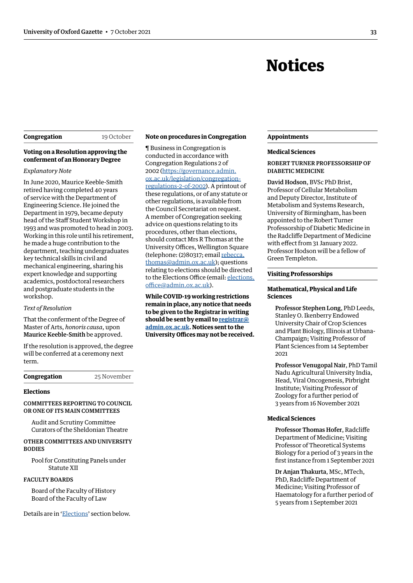## Notices

#### <span id="page-2-0"></span>**Congregation** 19 October

#### **Voting on a Resolution approving the conferment of an Honorary Degree**

#### *Explanatory Note*

In June 2020, Maurice Keeble-Smith retired having completed 40 years of service with the Department of Engineering Science. He joined the Department in 1979, became deputy head of the Staff Student Workshop in 1993 and was promoted to head in 2003. Working in this role until his retirement, he made a huge contribution to the department, teaching undergraduates key technical skills in civil and mechanical engineering, sharing his expert knowledge and supporting academics, postdoctoral researchers and postgraduate students in the workshop.

#### *Text of Resolution*

That the conferment of the Degree of Master of Arts, *honoris causa*, upon Maurice Keeble-Smith be approved.

If the resolution is approved, the degree will be conferred at a ceremony next term.

**Congregation** 25 November

#### **Elections**

#### COMMITTEES REPORTING TO COUNCIL OR ONE OF ITS MAIN COMMITTEES

Audit and Scrutiny Committee Curators of the Sheldonian Theatre

#### OTHER COMMITTEES AND UNIVERSITY **BODIES**

Pool for Constituting Panels under Statute XII

#### FACULTY BOARDS

Board of the Faculty of History Board of the Faculty of Law

Details are in '[Elections'](#page-4-1) section below.

#### **Note on procedures in Congregation**

¶ Business in Congregation is conducted in accordance with Congregation Regulations 2 of 2002 ([https://governance.admin.](https://governance.admin.ox.ac.uk/legislation/congregation-regulations-2-of-2002) [ox.ac.uk/legislation/congregation](https://governance.admin.ox.ac.uk/legislation/congregation-regulations-2-of-2002)[regulations-2-of-2002\)](https://governance.admin.ox.ac.uk/legislation/congregation-regulations-2-of-2002). A printout of these regulations, or of any statute or other regulations, is available from the Council Secretariat on request. A member of Congregation seeking advice on questions relating to its procedures, other than elections, should contact Mrs R Thomas at the University Offices, Wellington Square (telephone: (2)80317; email [rebecca.](mailto:rebecca.thomas@admin.ox.ac.uk) [thomas@admin.ox.ac.uk](mailto:rebecca.thomas@admin.ox.ac.uk)); questions relating to elections should be directed to the Elections Office (email: [elections.](mailto:elections.office@admin.ox.ac.uk) [office@admin.ox.ac.uk](mailto:elections.office@admin.ox.ac.uk)).

**While COVID-19 working restrictions remain in place, any notice that needs to be given to the Registrar in writing should be sent by email to [registrar@](mailto:registrar%40admin.ox.ac.uk?subject=) [admin.ox.ac.uk.](mailto:registrar%40admin.ox.ac.uk?subject=) Notices sent to the University Offices may not be received.**

#### **Appointments**

#### **Medical Sciences**

ROBERT TURNER PROFESSORSHIP OF DIABETIC MEDICINE

David Hodson, BVSc PhD Brist, Professor of Cellular Metabolism and Deputy Director, Institute of Metabolism and Systems Research, University of Birmingham, has been appointed to the Robert Turner Professorship of Diabetic Medicine in the Radcliffe Department of Medicine with effect from 31 January 2022. Professor Hodson will be a fellow of Green Templeton.

#### **Visiting Professorships**

#### **Mathematical, Physical and Life Sciences**

Professor Stephen Long, PhD Leeds, Stanley O. Ikenberry Endowed University Chair of Crop Sciences and Plant Biology, Illinois at Urbana-Champaign; Visiting Professor of Plant Sciences from 14 September 2021

Professor Venugopal Nair, PhD Tamil Nadu Agricultural University India, Head, Viral Oncogenesis, Pirbright Institute; Visiting Professor of Zoology for a further period of 3 years from 16 November 2021

#### **Medical Sciences**

Professor Thomas Hofer, Radcliffe Department of Medicine; Visiting Professor of Theoretical Systems Biology for a period of 3 years in the first instance from 1 September 2021

Dr Anjan Thakurta, MSc, MTech, PhD, Radcliffe Department of Medicine; Visiting Professor of Haematology for a further period of 5 years from 1 September 2021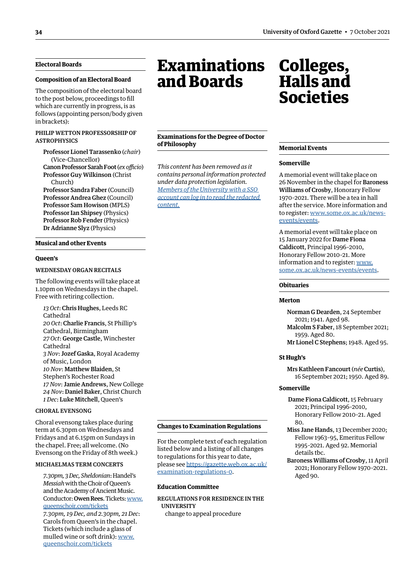#### <span id="page-3-0"></span>**Electoral Boards**

#### **Composition of an Electoral Board**

The composition of the electoral board to the post below, proceedings to fill which are currently in progress, is as follows (appointing person/body given in brackets):

#### PHILIP WETTON PROFESSORSHIP OF **ASTROPHYSICS**

Professor Lionel Tarassenko (*chair*) (Vice-Chancellor)

Canon Professor Sarah Foot (*ex officio*) Professor Guy Wilkinson (Christ Church)

Professor Sandra Faber (Council) Professor Andrea Ghez (Council) Professor Sam Howison (MPLS) Professor Ian Shipsey (Physics) Professor Rob Fender (Physics) Dr Adrianne Slyz (Physics)

#### **Musical and other Events**

#### **Queen's**

#### WEDNESDAY ORGAN RECITALS

The following events will take place at 1.10pm on Wednesdays in the chapel. Free with retiring collection.

*13 Oct*: Chris Hughes, Leeds RC Cathedral *20 Oct*: Charlie Francis, St Phillip's Cathedral, Birmingham *27 Oct*: George Castle, Winchester Cathedral *3 Nov*: Jozef Gaska, Royal Academy of Music, London *10 Nov*: Matthew Blaiden, St Stephen's Rochester Road *17 Nov*: Jamie Andrews, New College *24 Nov*: Daniel Baker, Christ Church *1 Dec*: Luke Mitchell, Queen's

#### CHORAL EVENSONG

Choral evensong takes place during term at 6.30pm on Wednesdays and Fridays and at 6.15pm on Sundays in the chapel. Free; all welcome. (No Evensong on the Friday of 8th week.)

#### MICHAELMAS TERM CONCERTS

*7.30pm, 3 Dec, Sheldonian*: Handel's *Messiah* with the Choir of Queen's and the Academy of Ancient Music. Conductor: Owen Rees. Tickets: [www.](http://www.queenschoir.com/tickets) [queenschoir.com/tickets](http://www.queenschoir.com/tickets)

*7.30pm, 19 Dec, and 2.30pm, 21 Dec*: Carols from Queen's in the chapel. Tickets (which include a glass of mulled wine or soft drink): [www.](http://www.queenschoir.com/tickets) [queenschoir.com/tickets](http://www.queenschoir.com/tickets)

## **Examinations** and Boards

#### **Examinations for the Degree of Doctor of Philosophy**

*This content has been removed as it contains personal information protected under data protection legislation. Members of the University with a SSO [account can log in to read the redacted](https://gazette.web.ox.ac.uk/sites/default/files/gazette/documents/media/7_october_2021_-_no_5324_redacted.pdf#page=4)  content.*

## Colleges, Halls and Societies

#### **Memorial Events**

#### **Somerville**

A memorial event will take place on 26 November in the chapel for Baroness Williams of Crosby, Honorary Fellow 1970–2021. There will be a tea in hall after the service. More information and to register: [www.some.ox.ac.uk/news](http://www.some.ox.ac.uk/news-events/events)[events/events](http://www.some.ox.ac.uk/news-events/events).

A memorial event will take place on 15 January 2022 for Dame Fiona Caldicott, Principal 1996–2010, Honorary Fellow 2010–21. More information and to register: [www.](http://www.some.ox.ac.uk/news-events/events) [some.ox.ac.uk/news-events/events.](http://www.some.ox.ac.uk/news-events/events)

#### **Obituaries**

#### **Merton**

Norman G Dearden, 24 September 2021; 1941. Aged 98. Malcolm S Faber, 18 September 2021; 1959. Aged 80. Mr Lionel C Stephens; 1948. Aged 95.

#### **St Hugh's**

Mrs Kathleen Fancourt (*née* Curtis), 16 September 2021; 1950. Aged 89.

#### **Somerville**

- Dame Fiona Caldicott, 15 February 2021; Principal 1996–2010, Honorary Fellow 2010–21. Aged  $80<sub>0</sub>$
- Miss Jane Hands, 13 December 2020; Fellow 1963–95, Emeritus Fellow 1995–2021. Aged 92. Memorial details tbc.

Baroness Williams of Crosby, 11 April 2021; Honorary Fellow 1970–2021. Aged 90.

#### <span id="page-3-1"></span>**Changes to Examination Regulations**

For the complete text of each regulation listed below and a listing of all changes to regulations for this year to date, please see [https://gazette.web.ox.ac.uk/](https://gazette.web.ox.ac.uk/examination-regulations-0) [examination-regulations-0.](https://gazette.web.ox.ac.uk/examination-regulations-0)

#### **Education Committee**

REGULATIONS FOR RESIDENCE IN THE UNIVERSITY change to appeal procedure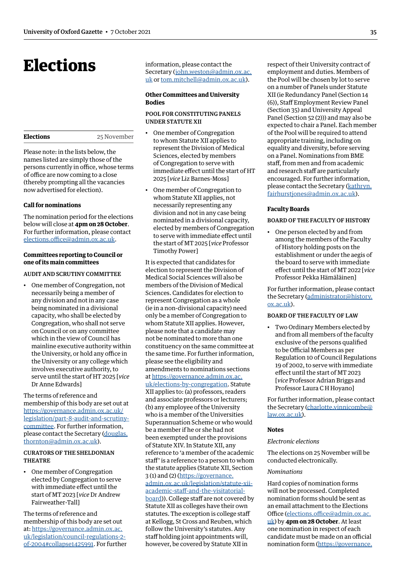## <span id="page-4-1"></span><span id="page-4-0"></span>Elections

Please note: in the lists below, the names listed are simply those of the persons currently in office, whose terms of office are now coming to a close (thereby prompting all the vacancies now advertised for election).

#### **Call for nominations**

The nomination period for the elections below will close at **4pm on 28 October**. For further information, please contact [elections.office@admin.ox.ac.uk.](mailto:elections.office@admin.ox.ac.uk)

#### **Committees reporting to Council or one of its main committees**

#### AUDIT AND SCRUTINY COMMITTEE

• One member of Congregation, not necessarily being a member of any division and not in any case being nominated in a divisional capacity, who shall be elected by Congregation, who shall not serve on Council or on any committee which in the view of Council has mainline executive authority within the University, or hold any office in the University or any college which involves executive authority, to serve until the start of HT 2025 [*vice* Dr Anne Edwards]

The terms of reference and membership of this body are set out at [https://governance.admin.ox.ac.uk/](https://governance.admin.ox.ac.uk/legislation/part-8-audit-and-scrutiny-committee) [legislation/part-8-audit-and-scrutiny](https://governance.admin.ox.ac.uk/legislation/part-8-audit-and-scrutiny-committee)[committee.](https://governance.admin.ox.ac.uk/legislation/part-8-audit-and-scrutiny-committee) For further information, please contact the Secretary [\(douglas.](mailto:douglas.thornton@admin.ox.ac.uk) [thornton@admin.ox.ac.uk\)](mailto:douglas.thornton@admin.ox.ac.uk).

#### CURATORS OF THE SHELDONIAN THEATRE

• One member of Congregation elected by Congregation to serve with immediate effect until the start of MT 2023 [*vice* Dr Andrew Fairweather-Tall]

The terms of reference and membership of this body are set out at: [https://governance.admin.ox.ac.](https://governance.admin.ox.ac.uk/legislation/council-regulations-2-of-2004#collapse1425991) [uk/legislation/council-regulations-2](https://governance.admin.ox.ac.uk/legislation/council-regulations-2-of-2004#collapse1425991) [of-2004#collapse1425991.](https://governance.admin.ox.ac.uk/legislation/council-regulations-2-of-2004#collapse1425991) For further information, please contact the Secretary ([john.weston@admin.ox.ac.](mailto:john.weston@admin.ox.ac.uk) [uk](mailto:john.weston@admin.ox.ac.uk) or [tom.mitchell@admin.ox.ac.uk](mailto:tom.mitchell@admin.ox.ac.uk)).

#### **Other Committees and University Bodies**

#### POOL FOR CONSTITUTING PANELS UNDER STATUTE XII

- One member of Congregation to whom Statute XII applies to represent the Division of Medical Sciences, elected by members of Congregation to serve with immediate effect until the start of HT 2025 [*vice* Liz Barnes-Moss]
- One member of Congregation to whom Statute XII applies, not necessarily representing any division and not in any case being nominated in a divisional capacity, elected by members of Congregation to serve with immediate effect until the start of MT 2025 [*vice* Professor Timothy Power]

It is expected that candidates for election to represent the Division of Medical Social Sciences will also be members of the Division of Medical Sciences. Candidates for election to represent Congregation as a whole (ie in a non-divisional capacity) need only be a member of Congregation to whom Statute XII applies. However, please note that a candidate may not be nominated to more than one constituency on the same committee at the same time. For further information, please see the eligibility and amendments to nominations sections at [https://governance.admin.ox.ac.](https://governance.admin.ox.ac.uk/elections-by-congregation) [uk/elections-by-congregation](https://governance.admin.ox.ac.uk/elections-by-congregation). Statute XII applies to: (a) professors, readers and associate professors or lecturers; (b) any employee of the University who is a member of the Universities Superannuation Scheme or who would be a member if he or she had not been exempted under the provisions of Statute XIV. In Statute XII, any reference to 'a member of the academic staff' is a reference to a person to whom the statute applies (Statute XII, Section 3 (1) and (2) ([https://governance.](https://governance.admin.ox.ac.uk/legislation/statute-xii-academic-staff-and-the-visitatorial-board) [admin.ox.ac.uk/legislation/statute-xii](https://governance.admin.ox.ac.uk/legislation/statute-xii-academic-staff-and-the-visitatorial-board)[academic-staff-and-the-visitatorial](https://governance.admin.ox.ac.uk/legislation/statute-xii-academic-staff-and-the-visitatorial-board)[board](https://governance.admin.ox.ac.uk/legislation/statute-xii-academic-staff-and-the-visitatorial-board))). College staff are not covered by Statute XII as colleges have their own statutes. The exception is college staff at Kellogg, St Cross and Reuben, which follow the University's statutes. Any

staff holding joint appointments will, however, be covered by Statute XII in respect of their University contract of employment and duties. Members of the Pool will be chosen by lot to serve on a number of Panels under Statute XII (ie Redundancy Panel (Section 14 (6)), Staff Employment Review Panel (Section 35) and University Appeal Panel (Section 52 (2))) and may also be expected to chair a Panel. Each member of the Pool will be required to attend appropriate training, including on equality and diversity, before serving on a Panel. Nominations from BME staff, from men and from academic and research staff are particularly encouraged. For further information, please contact the Secretary ([kathryn.](mailto:kathryn.fairhurstjones@admin.ox.ac.uk) [fairhurstjones@admin.ox.ac.uk\)](mailto:kathryn.fairhurstjones@admin.ox.ac.uk).

#### **Faculty Boards**

#### BOARD OF THE FACULTY OF HISTORY

• One person elected by and from among the members of the Faculty of History holding posts on the establishment or under the aegis of the board to serve with immediate effect until the start of MT 2022 [*vice* Professor Pekka Hämäläinen]

For further information, please contact the Secretary [\(administrator@history.](mailto:administrator@history.ox.ac.uk) [ox.ac.uk](mailto:administrator@history.ox.ac.uk)).

#### BOARD OF THE FACULTY OF LAW

• Two Ordinary Members elected by and from all members of the faculty exclusive of the persons qualified to be Official Members as per Regulation 10 of Council Regulations 19 of 2002, to serve with immediate effect until the start of MT 2023 [*vice* Professor Adrian Briggs and Professor Laura C H Hoyano]

For further information, please contact the Secretary [\(charlotte.vinnicombe@](mailto:charlotte.vinnicombe@law.ox.ac.uk) [law.ox.ac.uk](mailto:charlotte.vinnicombe@law.ox.ac.uk)).

#### **Notes**

#### *Electronic elections*

The elections on 25 November will be conducted electronically.

#### *Nominations*

Hard copies of nomination forms will not be processed. Completed nomination forms should be sent as an email attachment to the Elections Office [\(elections.office@admin.ox.ac.](mailto:elections.office@admin.ox.ac.uk) [uk\)](mailto:elections.office@admin.ox.ac.uk) by **4pm on 28 October**. At least one nomination in respect of each candidate must be made on an official nomination form ([https://governance.](https://governance.admin.ox.ac.uk/nomination-forms)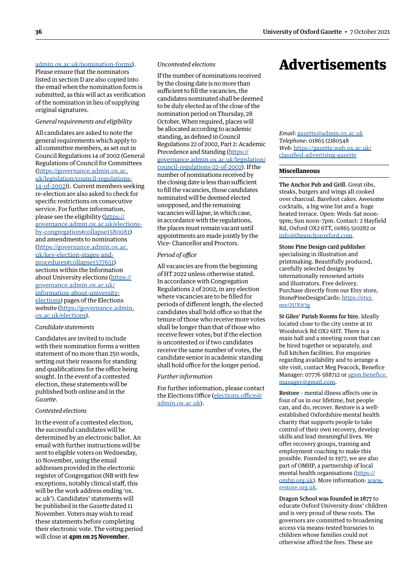#### <span id="page-5-0"></span>[admin.ox.ac.uk/nomination-forms](https://governance.admin.ox.ac.uk/nomination-forms)).

Please ensure that the nominators listed in section D are also copied into the email when the nomination form is submitted, as this will act as verification of the nomination in lieu of supplying original signatures.

#### *General requirements and eligibility*

All candidates are asked to note the general requirements which apply to all committee members, as set out in Council Regulations 14 of 2002 (General Regulations of Council for Committees [\(https://governance.admin.ox.ac.](https://governance.admin.ox.ac.uk/legislation/council-regulations-14-of-2002) [uk/legislation/council-regulations-](https://governance.admin.ox.ac.uk/legislation/council-regulations-14-of-2002)[14-of-2002](https://governance.admin.ox.ac.uk/legislation/council-regulations-14-of-2002))). Current members seeking re-election are also asked to check for specific restrictions on consecutive service. For further information, please see the eligibility [\(https://](https://governance.admin.ox.ac.uk/elections-by-congregation#collapse1580081) [governance.admin.ox.ac.uk/elections](https://governance.admin.ox.ac.uk/elections-by-congregation#collapse1580081)[by-congregation#collapse1580081](https://governance.admin.ox.ac.uk/elections-by-congregation#collapse1580081)) and amendments to nominations [\(https://governance.admin.ox.ac.](https://governance.admin.ox.ac.uk/key-election-stages-and-procedures#collapse1577651) [uk/key-election-stages-and](https://governance.admin.ox.ac.uk/key-election-stages-and-procedures#collapse1577651)[procedures#collapse1577651](https://governance.admin.ox.ac.uk/key-election-stages-and-procedures#collapse1577651)) sections within the Information about University elections [\(https://](https://governance.admin.ox.ac.uk/information-about-university-elections) [governance.admin.ox.ac.uk/](https://governance.admin.ox.ac.uk/information-about-university-elections) [information-about-university](https://governance.admin.ox.ac.uk/information-about-university-elections)[elections](https://governance.admin.ox.ac.uk/information-about-university-elections)) pages of the Elections website ([https://governance.admin.](https://governance.admin.ox.ac.uk/elections) [ox.ac.uk/elections\)](https://governance.admin.ox.ac.uk/elections).

#### *Candidate statements*

Candidates are invited to include with their nomination forms a written statement of no more than 250 words, setting out their reasons for standing and qualifications for the office being sought. In the event of a contested election, these statements will be published both online and in the *Gazette*.

#### *Contested elections*

In the event of a contested election, the successful candidates will be determined by an electronic ballot. An email with further instructions will be sent to eligible voters on Wednesday, 10 November, using the email addresses provided in the electronic register of Congregation (NB with few exceptions, notably clinical staff, this will be the work address ending 'ox. ac.uk'). Candidates' statements will be published in the *Gazette* dated 11 November. Voters may wish to read these statements before completing their electronic vote. The voting period will close at **4pm on 25 November**.

#### *Uncontested elections*

If the number of nominations received by the closing date is no more than sufficient to fill the vacancies, the candidates nominated shall be deemed to be duly elected as of the close of the nomination period on Thursday, 28 October. When required, places will be allocated according to academic standing, as defined in Council Regulations 22 of 2002, Part 2: Academic Precedence and Standing ([https://](https://governance.admin.ox.ac.uk/legislation/council-regulations-22-of-2002) [governance.admin.ox.ac.uk/legislation/](https://governance.admin.ox.ac.uk/legislation/council-regulations-22-of-2002) [council-regulations-22-of-2002](https://governance.admin.ox.ac.uk/legislation/council-regulations-22-of-2002)). If the number of nominations received by the closing date is less than sufficient to fill the vacancies, those candidates nominated will be deemed elected unopposed, and the remaining vacancies will lapse, in which case, in accordance with the regulations, the places must remain vacant until appointments are made jointly by the Vice- Chancellor and Proctors.

#### *Period of office*

All vacancies are from the beginning of HT 2022 unless otherwise stated. In accordance with Congregation Regulations 2 of 2002, in any election where vacancies are to be filled for periods of different length, the elected candidates shall hold office so that the tenure of those who receive more votes shall be longer than that of those who receive fewer votes; but if the election is uncontested or if two candidates receive the same number of votes, the candidate senior in academic standing shall hold office for the longer period.

#### *Further information*

For further information, please contact the Elections Office [\(elections.office@](mailto:elections.office@admin.ox.ac.uk) [admin.ox.ac.uk](mailto:elections.office@admin.ox.ac.uk)).

## Advertisements

*Email*: [gazette@admin.ox.ac.uk](mailto:gazette@admin.ox.ac.uk) *Telephone*: 01865 (2)80548 *Web*: https://[gazette.web.ox.ac.uk/](https://gazette.web.ox.ac.uk/classified-advertising-gazette) [classified-advertising](https://gazette.web.ox.ac.uk/classified-advertising-gazette)-gazette

#### **Miscellaneous**

The Anchor Pub and Grill. Great ribs, steaks, burgers and wings all cooked over charcoal. Barefoot cakes. Awesome cocktails, a big wine list and a huge heated terrace. Open: Weds–Sat noon– 9pm; Sun noon–7pm. Contact: 2 Hayfield Rd, Oxford OX2 6TT, 01865 510282 or [info@theanchoroxford.com.](mailto:info@theanchoroxford.com)

#### Stone Pine Design card publisher

specialising in illustration and printmaking. Beautifully produced, carefully selected designs by internationally renowned artists and illustrators. Free delivery. Purchase directly from our Etsy store, StonePineDesignCards: [https://etsy.](https://etsy.me/2UXit3g) [me/2UXit3g](https://etsy.me/2UXit3g)

St Giles' Parish Rooms for hire. Ideally located close to the city centre at 10 Woodstock Rd OX2 6HT. There is a main hall and a meeting room that can be hired together or separately, and full kitchen facilities. For enquiries regarding availability and to arrange a site visit, contact Meg Peacock, Benefice Manager: 07776 588712 or [sgsm.benefice.](mailto:sgsm.benefice.manager@gmail.com) [manager@gmail.com](mailto:sgsm.benefice.manager@gmail.com).

Restore – mental illness affects one in four of us in our lifetime, but people can, and do, recover. Restore is a wellestablished Oxfordshire mental health charity that supports people to take control of their own recovery, develop skills and lead meaningful lives. We offer recovery groups, training and employment coaching to make this possible. Founded in 1977, we are also part of OMHP, a partnership of local mental health organisations ([https://](https://omhp.org.uk) [omhp.org.uk](https://omhp.org.uk)). More information: [www.](http://www.restore.org.uk) [restore.org.uk.](http://www.restore.org.uk)

Dragon School was founded in 1877 to educate Oxford University dons' children and is very proud of these roots. The governors are committed to broadening access via means-tested bursaries to children whose families could not otherwise afford the fees. These are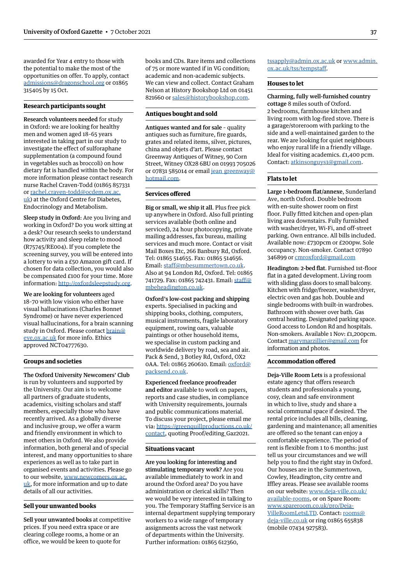awarded for Year 4 entry to those with the potential to make the most of the opportunities on offer. To apply, contact [admissions@dragonschool.org](mailto:admissions@dragonschool.org) or 01865 315405 by 15 Oct.

#### **Research participants sought**

Research volunteers needed for study in Oxford: we are looking for healthy men and women aged 18–65 years interested in taking part in our study to investigate the effect of sulforaphane supplementation (a compound found in vegetables such as broccoli) on how dietary fat is handled within the body. For more information please contact research nurse Rachel Craven-Todd (01865 857331 or [rachel.craven-todd@ocdem.ox.ac.](mailto:rachel.craven-todd@ocdem.ox.ac.uk) [uk\)](mailto:rachel.craven-todd@ocdem.ox.ac.uk) at the Oxford Centre for Diabetes, Endocrinology and Metabolism.

Sleep study in Oxford: Are you living and working in Oxford? Do you work sitting at a desk? Our research seeks to understand how activity and sleep relate to mood (R75745/RE004). If you complete the screening survey, you will be entered into a lottery to win a £50 Amazon gift card. If chosen for data collection, you would also be compensated £100 for your time. More information: [http://oxfordsleepstudy.org.](http://oxfordsleepstudy.org)

We are looking for volunteers aged 18–70 with low vision who either have visual hallucinations (Charles Bonnet Syndrome) or have never experienced visual hallucinations, for a brain scanning study in Oxford. Please contact [brain@](mailto:brain@eye.ox.ac.uk) [eye.ox.ac.uk](mailto:brain@eye.ox.ac.uk) for more info. Ethics approved NCT04777630.

#### **Groups and societies**

The Oxford University Newcomers' Club is run by volunteers and supported by the University. Our aim is to welcome all partners of graduate students, academics, visiting scholars and staff members, especially those who have recently arrived. As a globally diverse and inclusive group, we offer a warm and friendly environment in which to meet others in Oxford. We also provide information, both general and of special interest, and many opportunities to share experiences as well as to take part in organised events and activities. Please go to our website, [www.newcomers.ox.ac.](http://www.newcomers.ox.ac.uk) [uk,](http://www.newcomers.ox.ac.uk) for more information and up to date details of all our activities.

#### **Sell your unwanted books**

Sell your unwanted books at competitive prices. If you need extra space or are clearing college rooms, a home or an office, we would be keen to quote for

books and CDs. Rare items and collections of 75 or more wanted if in VG condition; academic and non-academic subjects. We can view and collect. Contact Graham Nelson at History Bookshop Ltd on 01451 821660 or [sales@historybookshop.com.](mailto:sales@historybookshop.com)

#### **Antiques bought and sold**

Antiques wanted and for sale – quality antiques such as furniture, fire guards, grates and related items, silver, pictures, china and objets d'art. Please contact Greenway Antiques of Witney, 90 Corn Street, Witney OX28 6BU on 01993 705026 or 07831 585014 or email jean greenway@ [hotmail.com](mailto:jean_greenway@hotmail.com).

#### **Services offered**

Big or small, we ship it all. Plus free pick up anywhere in Oxford. Also full printing services available (both online and serviced), 24 hour photocopying, private mailing addresses, fax bureau, mailing services and much more. Contact or visit Mail Boxes Etc, 266 Banbury Rd, Oxford. Tel: 01865 514655. Fax: 01865 514656. Email: [staff@mbesummertown.co.uk](mailto:staff@mbesummertown.co.uk). Also at 94 London Rd, Oxford. Tel: 01865 741729. Fax: 01865 742431. Email: [staff@](mailto:staff@mbeheadington.co.uk) [mbeheadington.co.uk.](mailto:staff@mbeheadington.co.uk)

Oxford's low-cost packing and shipping experts. Specialised in packing and shipping books, clothing, computers, musical instruments, fragile laboratory equipment, rowing oars, valuable paintings or other household items, we specialise in custom packing and worldwide delivery by road, sea and air. Pack & Send, 3 Botley Rd, Oxford, OX2 0AA. Tel: 01865 260610. Email: [oxford@](mailto:oxford@packsend.co.uk) [packsend.co.uk.](mailto:oxford@packsend.co.uk)

Experienced freelance proofreader and editor available to work on papers, reports and case studies, in compliance with University requirements, journals and public communications material. To discuss your project, please email me via: [https://greenquillproductions.co.uk/](https://greenquillproductions.co.uk/contact) [contact,](https://greenquillproductions.co.uk/contact) quoting Proof/editing\_Gaz2021.

#### **Situations vacant**

Are you looking for interesting and stimulating temporary work? Are you available immediately to work in and around the Oxford area? Do you have administration or clerical skills? Then we would be very interested in talking to you. The Temporary Staffing Service is an internal department supplying temporary workers to a wide range of temporary assignments across the vast network of departments within the University. Further information: 01865 612360,

[tssapply@admin.ox.ac.uk](mailto:tssapply@admin.ox.ac.uk) or [www.admin.](http://www.admin.ox.ac.uk/tss/tempstaff) [ox.ac.uk/tss/tempstaff](http://www.admin.ox.ac.uk/tss/tempstaff).

#### **Houses to let**

Charming, fully well-furnished country cottage 8 miles south of Oxford. 2 bedrooms, farmhouse kitchen and living room with log-fired stove. There is a garage/storeroom with parking to the side and a well-maintained garden to the rear. We are looking for quiet neighbours who enjoy rural life in a friendly village. Ideal for visiting academics. £1,400 pcm. Contact: [atkinsonguys1@gmail.com](mailto:atkinsonguys1@gmail.com).

#### **Flats to let**

Large 1-bedroom flat/annexe, Sunderland Ave, north Oxford. Double bedroom with en-suite shower room on first floor. Fully fitted kitchen and open-plan living area downstairs. Fully furnished with washer/dryer, Wi-Fi, and off-street parking. Own entrance. All bills included. Available now: £730pcm or £200pw. Sole occupancy. Non-smoker. Contact 07890 346899 or [cmroxford@gmail.com](mailto:cmroxford@gmail.com)

Headington: 2-bed flat. Furnished 1st-floor flat in a gated development. Living room with sliding glass doors to small balcony. Kitchen with fridge/freezer, washer/dryer, electric oven and gas hob. Double and single bedrooms with built-in wardrobes. Bathroom with shower over bath. Gas central heating. Designated parking space. Good access to London Rd and hospitals. Non-smokers. Available 1 Nov: £1,200pcm. Contact [marymarzillier@gmail.com](mailto:marymarzillier@gmail.com) for information and photos.

#### **Accommodation offered**

Deja-Ville Room Lets is a professional estate agency that offers research students and professionals a young, cosy, clean and safe environment in which to live, study and share a social communal space if desired. The rental price includes all bills, cleaning, gardening and maintenance; all amenities are offered so the tenant can enjoy a comfortable experience. The period of rent is flexible from 1 to 6 months: just tell us your circumstances and we will help you to find the right stay in Oxford. Our houses are in the Summertown, Cowley, Headington, city centre and Iffley areas. Please see available rooms on our website: [www.deja-ville.co.uk/](http://www.deja-ville.co.uk/available-rooms) [available-rooms](http://www.deja-ville.co.uk/available-rooms), or on Spare Room: [www.spareroom.co.uk/pro/Deja-](http://www.spareroom.co.uk/pro/Deja-VilleRoomLetsLTD)[VilleRoomLetsLTD](http://www.spareroom.co.uk/pro/Deja-VilleRoomLetsLTD). Contact: [rooms@](mailto:rooms@deja-ville.co.uk) [deja-ville.co.uk](mailto:rooms@deja-ville.co.uk) or ring 01865 655838 (mobile 07434 927583).